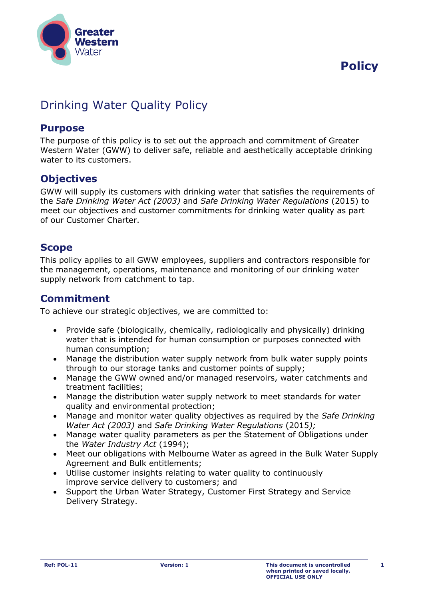

# **Policy**

## Drinking Water Quality Policy

#### **Purpose**

The purpose of this policy is to set out the approach and commitment of Greater Western Water (GWW) to deliver safe, reliable and aesthetically acceptable drinking water to its customers.

### **Objectives**

GWW will supply its customers with drinking water that satisfies the requirements of the *Safe Drinking Water Act (2003)* and *Safe Drinking Water Regulations* (2015) to meet our objectives and customer commitments for drinking water quality as part of our Customer Charter.

#### **Scope**

This policy applies to all GWW employees, suppliers and contractors responsible for the management, operations, maintenance and monitoring of our drinking water supply network from catchment to tap.

#### **Commitment**

To achieve our strategic objectives, we are committed to:

- Provide safe (biologically, chemically, radiologically and physically) drinking water that is intended for human consumption or purposes connected with human consumption;
- Manage the distribution water supply network from bulk water supply points through to our storage tanks and customer points of supply;
- Manage the GWW owned and/or managed reservoirs, water catchments and treatment facilities;
- Manage the distribution water supply network to meet standards for water quality and environmental protection;
- Manage and monitor water quality objectives as required by the *Safe Drinking Water Act (2003)* and *Safe Drinking Water Regulations* (2015*);*
- Manage water quality parameters as per the Statement of Obligations under the *Water Industry Act* (1994);
- Meet our obligations with Melbourne Water as agreed in the Bulk Water Supply Agreement and Bulk entitlements;
- Utilise customer insights relating to water quality to continuously improve service delivery to customers; and
- Support the Urban Water Strategy, Customer First Strategy and Service Delivery Strategy.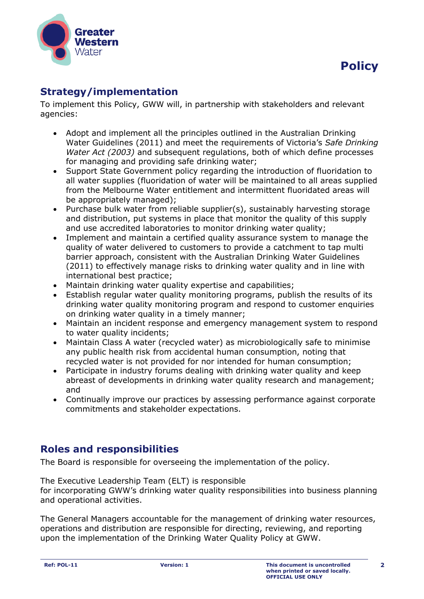

## **Strategy/implementation**

To implement this Policy, GWW will, in partnership with stakeholders and relevant agencies:

- Adopt and implement all the principles outlined in the Australian Drinking Water Guidelines (2011) and meet the requirements of Victoria's *Safe Drinking Water Act (2003)* and subsequent regulations, both of which define processes for managing and providing safe drinking water;
- Support State Government policy regarding the introduction of fluoridation to all water supplies (fluoridation of water will be maintained to all areas supplied from the Melbourne Water entitlement and intermittent fluoridated areas will be appropriately managed);
- Purchase bulk water from reliable supplier(s), sustainably harvesting storage and distribution, put systems in place that monitor the quality of this supply and use accredited laboratories to monitor drinking water quality;
- Implement and maintain a certified quality assurance system to manage the quality of water delivered to customers to provide a catchment to tap multi barrier approach, consistent with the Australian Drinking Water Guidelines (2011) to effectively manage risks to drinking water quality and in line with international best practice;
- Maintain drinking water quality expertise and capabilities;
- Establish regular water quality monitoring programs, publish the results of its drinking water quality monitoring program and respond to customer enquiries on drinking water quality in a timely manner;
- Maintain an incident response and emergency management system to respond to water quality incidents;
- Maintain Class A water (recycled water) as microbiologically safe to minimise any public health risk from accidental human consumption, noting that recycled water is not provided for nor intended for human consumption;
- Participate in industry forums dealing with drinking water quality and keep abreast of developments in drinking water quality research and management; and
- Continually improve our practices by assessing performance against corporate commitments and stakeholder expectations.

### **Roles and responsibilities**

The Board is responsible for overseeing the implementation of the policy.

The Executive Leadership Team (ELT) is responsible

for incorporating GWW's drinking water quality responsibilities into business planning and operational activities.

The General Managers accountable for the management of drinking water resources, operations and distribution are responsible for directing, reviewing, and reporting upon the implementation of the Drinking Water Quality Policy at GWW.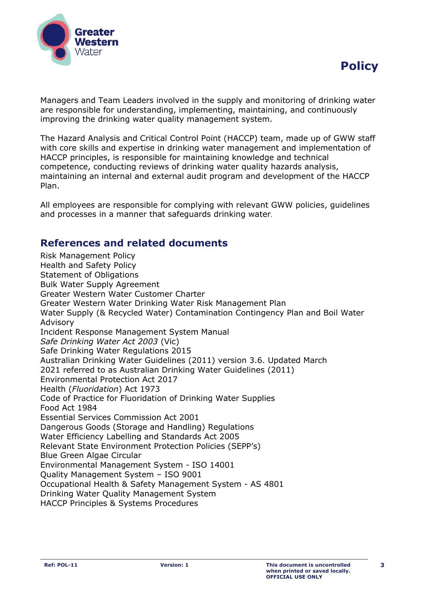



Managers and Team Leaders involved in the supply and monitoring of drinking water are responsible for understanding, implementing, maintaining, and continuously improving the drinking water quality management system.

The Hazard Analysis and Critical Control Point (HACCP) team, made up of GWW staff with core skills and expertise in drinking water management and implementation of HACCP principles, is responsible for maintaining knowledge and technical competence, conducting reviews of drinking water quality hazards analysis, maintaining an internal and external audit program and development of the HACCP Plan.

All employees are responsible for complying with relevant GWW policies, guidelines and processes in a manner that safeguards drinking water.

### **References and related documents**

Risk Management Policy Health and Safety Policy Statement of Obligations Bulk Water Supply Agreement Greater Western Water Customer Charter Greater Western Water Drinking Water Risk Management Plan Water Supply (& Recycled Water) Contamination Contingency Plan and Boil Water Advisory Incident Response Management System Manual *Safe Drinking Water Act 2003* (Vic) Safe Drinking Water Regulations 2015 Australian Drinking Water Guidelines (2011) version 3.6. Updated March 2021 referred to as Australian Drinking Water Guidelines (2011) Environmental Protection Act 2017 Health (*Fluoridation*) Act 1973 Code of Practice for Fluoridation of Drinking Water Supplies Food Act 1984 Essential Services Commission Act 2001 Dangerous Goods (Storage and Handling) Regulations Water Efficiency Labelling and Standards Act 2005 Relevant State Environment Protection Policies (SEPP's) Blue Green Algae Circular Environmental Management System - ISO 14001 Quality Management System – ISO 9001 Occupational Health & Safety Management System - AS 4801 Drinking Water Quality Management System HACCP Principles & Systems Procedures